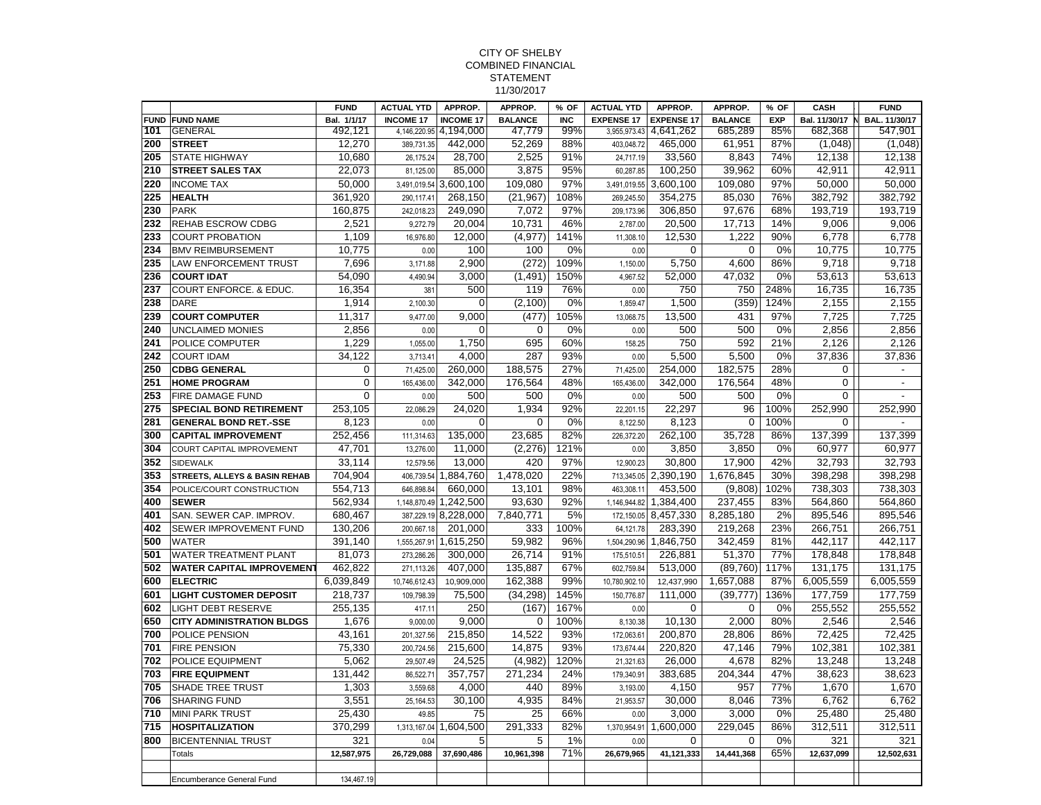## CITY OF SHELBY COMBINED FINANCIAL STATEMENT 11/30/2017

|             |                                                            | <b>FUND</b>         | <b>ACTUAL YTD</b>      | APPROP.                | APPROP.            | % OF        | <b>ACTUAL YTD</b>       | APPROP.                | APPROP.               | % OF        | CASH                    | <b>FUND</b>                   |
|-------------|------------------------------------------------------------|---------------------|------------------------|------------------------|--------------------|-------------|-------------------------|------------------------|-----------------------|-------------|-------------------------|-------------------------------|
| <b>FUND</b> | <b>FUND NAME</b>                                           | Bal. 1/1/17         | <b>INCOME 17</b>       | <b>INCOME 17</b>       | <b>BALANCE</b>     | <b>INC</b>  | <b>EXPENSE 17</b>       | <b>EXPENSE 17</b>      | <b>BALANCE</b>        | <b>EXP</b>  |                         | Bal. 11/30/17 N BAL. 11/30/17 |
| 101         | <b>GENERAL</b>                                             | 492,121             |                        | 4,146,220.95 4,194,000 | 47,779             | 99%         | 3,955,973.43            | 4,641,262              | 685,289               | 85%         | 682,368                 | 547,901                       |
| 200         | <b>STREET</b>                                              | 12.270              | 389,731.35             | 442.000                | 52,269             | 88%         | 403,048.72              | 465,000                | 61,951                | 87%         | (1,048)                 | (1,048)                       |
| 205         | <b>STATE HIGHWAY</b>                                       | 10,680              | 26,175.24              | 28,700                 | 2,525              | 91%         | 24,717.19               | 33,560                 | 8,843                 | 74%         | 12,138                  | 12,138                        |
| 210         | <b>STREET SALES TAX</b>                                    | 22.073              | 81.125.00              | 85.000                 | 3,875              | 95%         | 60.287.85               | 100.250                | 39.962                | 60%         | 42.911                  | 42.911                        |
| 220         | <b>INCOME TAX</b>                                          | 50,000              |                        | 3,491,019.54 3,600,100 | 109,080            | 97%         |                         | 3,491,019.55 3,600,100 | 109,080               | 97%         | 50,000                  | 50,000                        |
| 225         | <b>HEALTH</b>                                              | 361,920             | 290.117.41             | 268,150                | (21, 967)          | 108%        | 269.245.50              | 354,275                | 85,030                | 76%         | 382,792                 | 382,792                       |
| 230         | <b>PARK</b>                                                | 160,875             | 242,018.23             | 249,090                | 7,072              | 97%         | 209.173.96              | 306,850                | 97,676                | 68%         | 193,719                 | 193,719                       |
| 232         | REHAB ESCROW CDBG                                          | 2,521               | 9,272.79               | 20,004                 | 10,731             | 46%         | 2,787.00                | 20,500                 | 17,713                | 14%         | 9,006                   | 9,006                         |
| 233         | <b>COURT PROBATION</b>                                     | 1.109               | 16,976.80              | 12,000                 | (4,977)            | 141%        | 11,308.10               | 12,530                 | 1.222                 | 90%         | 6.778                   | 6.778                         |
| 234<br>235  | <b>BMV REIMBURSEMENT</b>                                   | 10,775              | 0.00                   | 100<br>2.900           | 100                | 0%          | 0.00                    | $\mathbf 0$            | $\mathbf 0$           | 0%          | 10,775                  | 10,775                        |
|             | LAW ENFORCEMENT TRUST                                      | 7,696               | 3,171.88               |                        | (272)              | 109%        | 1,150.00                | 5,750                  | 4,600                 | 86%         | 9,718                   | 9,718                         |
| 236         | <b>COURT IDAT</b>                                          | 54,090              | 4,490.94               | 3,000                  | (1, 491)           | 150%        | 4,967.52                | 52,000                 | 47,032                | 0%          | 53,613                  | 53,613                        |
| 237         | <b>COURT ENFORCE. &amp; EDUC.</b>                          | 16,354              | 381                    | 500                    | 119                | 76%         | 0.00                    | 750                    | 750                   | 248%        | 16,735                  | 16,735                        |
| 238         | DARE                                                       | 1,914               | 2,100.30               | $\mathbf 0$            | (2,100)            | 0%          | 1,859.47                | 1,500                  | (359)                 | 124%        | 2,155                   | 2,155                         |
| 239         | <b>COURT COMPUTER</b>                                      | 11,317              | 9,477.00               | 9,000                  | (477)              | 105%        | 13,068.75               | 13,500                 | 431                   | 97%         | 7,725                   | 7,725                         |
| 240         | <b>UNCLAIMED MONIES</b>                                    | 2,856               | 0.00                   | $\Omega$               | $\overline{0}$     | 0%          | 0.00                    | 500                    | 500                   | 0%          | 2,856                   | 2,856                         |
| 241         | POLICE COMPUTER                                            | 1.229               | 1.055.00               | 1.750                  | 695                | 60%         | 158.25                  | 750                    | 592                   | 21%         | 2.126                   | 2.126                         |
| 242         | <b>COURT IDAM</b>                                          | 34,122              | 3.713.41               | 4.000                  | 287                | 93%         | 0.00                    | 5,500                  | 5,500                 | 0%          | 37,836                  | 37,836                        |
| 250<br>251  | <b>CDBG GENERAL</b>                                        | 0<br>$\overline{0}$ | 71,425.00              | 260,000                | 188,575            | 27%<br>48%  | 71,425.00               | 254,000                | 182,575               | 28%<br>48%  | $\mathbf 0$<br>$\Omega$ | $\blacksquare$                |
|             | <b>HOME PROGRAM</b>                                        |                     | 165,436.00             | 342,000                | 176,564            |             | 165,436.00              | 342,000                | 176,564               |             |                         | $\blacksquare$                |
| 253         | <b>FIRE DAMAGE FUND</b>                                    | 0                   | 0.00                   | 500                    | 500                | 0%          | 0.00                    | 500                    | 500                   | 0%          | $\Omega$                | $\overline{\phantom{a}}$      |
| 275         | <b>SPECIAL BOND RETIREMENT</b>                             | 253,105             | 22,086.29              | 24.020                 | 1,934              | 92%         | 22,201.15               | 22,297                 | 96                    | 100%        | 252,990                 | 252,990                       |
| 281         | <b>GENERAL BOND RET.-SSE</b>                               | 8,123               | 0.00                   | $\mathbf 0$            | 0                  | 0%          | 8,122.50                | 8,123                  | $\mathbf 0$           | 100%        | 0                       | $\overline{a}$                |
| 300         | <b>CAPITAL IMPROVEMENT</b>                                 | 252,456             | 111,314.63             | 135,000                | 23,685             | 82%         | 226,372.20              | 262,100                | 35,728                | 86%         | 137,399                 | 137,399                       |
| 304         | <b>COURT CAPITAL IMPROVEMENT</b>                           | 47.701              | 13.276.00              | 11.000                 | (2, 276)           | 121%        | 0.00                    | 3.850                  | 3.850                 | 0%          | 60.977                  | 60.977                        |
| 352         | <b>SIDEWALK</b>                                            | 33.114              | 12.579.56              | 13.000                 | 420                | 97%         | 12.900.23               | 30.800                 | 17,900                | 42%         | 32.793                  | 32.793                        |
| 353         | <b>STREETS, ALLEYS &amp; BASIN REHAB</b>                   | 704,904             | 406,739.54             | 1,884,760              | 1,478,020          | 22%         | 713,345.05              | 2,390,190              | 1,676,845             | 30%         | 398,298                 | 398,298                       |
| 354<br>400  | POLICE/COURT CONSTRUCTION<br><b>SEWER</b>                  | 554,713             | 646,898.84             | 660,000                | 13,101<br>93.630   | 98%<br>92%  | 463,308.11              | 453,500                | (9,808)<br>237.455    | 102%<br>83% | 738,303                 | 738,303                       |
|             |                                                            | 562.934             | 1.148.870.49           | 1,242,500              |                    |             | 1.146.944.82            | 1,384,400              |                       |             | 564,860                 | 564,860                       |
| 401         | SAN. SEWER CAP. IMPROV.                                    | 680,467             |                        | 387,229.19 8,228,000   | 7,840,771          | 5%          | 172.150.05              | 8,457,330              | 8,285,180             | 2%          | 895,546                 | 895,546                       |
| 402         | SEWER IMPROVEMENT FUND                                     | 130,206             | 200,667.18             | 201,000                | 333                | 100%        | 64,121.78               | 283,390                | 219,268               | 23%         | 266,751                 | 266,751                       |
| 500         | <b>WATER</b>                                               | 391,140             | 1,555,267.91           | 1,615,250              | 59,982             | 96%         | 1,504,290.96            | 1,846,750              | 342,459               | 81%         | 442,117                 | 442,117                       |
| 501         | <b>WATER TREATMENT PLANT</b>                               | 81,073              | 273,286.26             | 300,000                | 26,714             | 91%         | 175,510.51              | 226,881                | 51,370                | 77%         | 178,848                 | 178,848                       |
| 502         | <b>WATER CAPITAL IMPROVEMENT</b>                           | 462,822             | 271,113.26             | 407,000                | 135,887            | 67%<br>99%  | 602.759.84              | 513,000                | (89,760)              | 117%<br>87% | 131,175                 | 131,175                       |
| 600<br>601  | <b>ELECTRIC</b>                                            | 6,039,849           | 10,746,612.43          | 10,909,000             | 162,388            | 145%        | 10.780.902.10           | 12,437,990             | 1,657,088             |             | 6,005,559               | 6,005,559                     |
|             | <b>LIGHT CUSTOMER DEPOSIT</b><br><b>LIGHT DEBT RESERVE</b> | 218,737<br>255,135  | 109,798.39             | 75,500<br>250          | (34, 298)<br>(167) | 167%        | 150,776.87              | 111,000<br>$\Omega$    | (39, 777)<br>$\Omega$ | 136%<br>0%  | 177,759                 | 177,759                       |
| 602<br>650  |                                                            | 1,676               | 417.1'<br>9.000.00     | 9.000                  | 0                  | 100%        | 0.00<br>8.130.38        | 10,130                 | 2.000                 | 80%         | 255,552<br>2.546        | 255,552<br>2,546              |
| 700         | <b>CITY ADMINISTRATION BLDGS</b><br>POLICE PENSION         | 43,161              |                        | 215,850                | 14,522             | 93%         | 172,063.61              | 200,870                | 28,806                | 86%         | 72,425                  | 72,425                        |
| 701         | <b>FIRE PENSION</b>                                        | 75,330              | 201,327.56             | 215,600                | 14,875             | 93%         | 173,674.44              | 220,820                | 47,146                | 79%         | 102,381                 | 102,381                       |
|             |                                                            |                     | 200,724.56             |                        |                    |             |                         |                        |                       |             |                         |                               |
| 702<br>703  | POLICE EQUIPMENT<br><b>FIRE EQUIPMENT</b>                  | 5,062<br>131,442    | 29,507.49<br>86,522.71 | 24,525<br>357,757      | (4,982)<br>271,234 | 120%<br>24% | 21,321.63<br>179.340.91 | 26,000<br>383,685      | 4,678<br>204,344      | 82%<br>47%  | 13,248<br>38,623        | 13,248<br>38,623              |
|             |                                                            |                     |                        |                        |                    |             |                         |                        |                       |             |                         |                               |
| 705         | <b>SHADE TREE TRUST</b>                                    | 1,303               | 3.559.68               | 4,000                  | 440                | 89%<br>84%  | 3,193.00                | 4,150                  | 957                   | 77%<br>73%  | 1,670                   | 1,670<br>6,762                |
| 706         | <b>SHARING FUND</b>                                        | 3,551               | 25, 164.53             | 30,100                 | 4,935              |             | 21,953.57               | 30,000                 | 8,046                 |             | 6,762                   |                               |
| 710         | MINI PARK TRUST                                            | 25,430              | 49.85                  | 75                     | 25                 | 66%         | 0.00                    | 3,000                  | 3,000                 | 0%          | 25,480                  | 25,480                        |
| 715         | <b>HOSPITALIZATION</b>                                     | 370.299             | 1,313,167.04           | 1,604,500              | 291.333            | 82%         | 1.370.954.91            | 1.600.000              | 229.045               | 86%         | 312,511                 | 312,511                       |
| 800         | <b>BICENTENNIAL TRUST</b>                                  | 321                 | 0.04                   | 5                      | 5                  | 1%          | 0.00                    | 0                      | 0                     | 0%          | 321                     | 321                           |
|             | <b>Totals</b>                                              | 12,587,975          | 26,729,088             | 37,690,486             | 10,961,398         | 71%         | 26,679,965              | 41,121,333             | 14,441,368            | 65%         | 12,637,099              | 12,502,631                    |
|             |                                                            |                     |                        |                        |                    |             |                         |                        |                       |             |                         |                               |
|             | <b>Encumberance General Fund</b>                           | 134,467.19          |                        |                        |                    |             |                         |                        |                       |             |                         |                               |